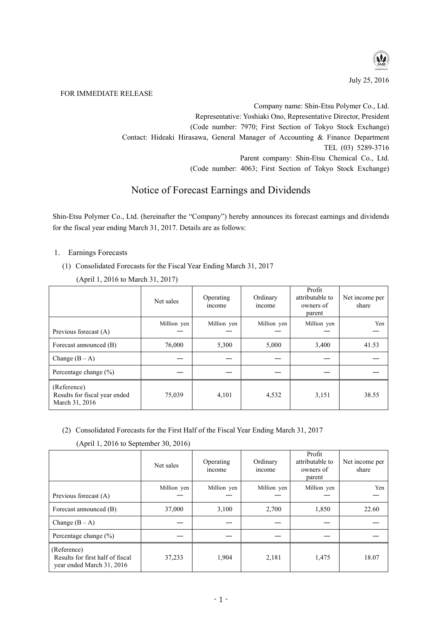

July 25, 2016

#### FOR IMMEDIATE RELEASE

Company name: Shin-Etsu Polymer Co., Ltd. Representative: Yoshiaki Ono, Representative Director, President (Code number: 7970; First Section of Tokyo Stock Exchange) Contact: Hideaki Hirasawa, General Manager of Accounting & Finance Department TEL (03) 5289-3716 Parent company: Shin-Etsu Chemical Co., Ltd. (Code number: 4063; First Section of Tokyo Stock Exchange)

# Notice of Forecast Earnings and Dividends

Shin-Etsu Polymer Co., Ltd. (hereinafter the "Company") hereby announces its forecast earnings and dividends for the fiscal year ending March 31, 2017. Details are as follows:

## 1. Earnings Forecasts

(1) Consolidated Forecasts for the Fiscal Year Ending March 31, 2017

|                                                                | Net sales   | Operating<br>income | Ordinary<br>income | Profit<br>attributable to<br>owners of<br>parent | Net income per<br>share |
|----------------------------------------------------------------|-------------|---------------------|--------------------|--------------------------------------------------|-------------------------|
| Previous forecast (A)                                          | Million yen | Million yen         | Million yen        | Million yen                                      | Yen                     |
| Forecast announced (B)                                         | 76,000      | 5,300               | 5,000              | 3,400                                            | 41.53                   |
| Change $(B-A)$                                                 |             |                     |                    |                                                  |                         |
| Percentage change $(\% )$                                      |             |                     |                    |                                                  |                         |
| (Reference)<br>Results for fiscal year ended<br>March 31, 2016 | 75,039      | 4,101               | 4,532              | 3,151                                            | 38.55                   |

(April 1, 2016 to March 31, 2017)

(2) Consolidated Forecasts for the First Half of the Fiscal Year Ending March 31, 2017

|  |  | (April 1, 2016 to September 30, 2016) |  |  |  |  |
|--|--|---------------------------------------|--|--|--|--|
|  |  |                                       |  |  |  |  |

|                                                                              | Net sales   | Operating<br>income | Ordinary<br>income | Profit<br>attributable to<br>owners of<br>parent | Net income per<br>share |
|------------------------------------------------------------------------------|-------------|---------------------|--------------------|--------------------------------------------------|-------------------------|
|                                                                              | Million yen | Million yen         | Million yen        | Million yen                                      | Yen                     |
| Previous forecast (A)                                                        |             |                     |                    |                                                  |                         |
| Forecast announced (B)                                                       | 37,000      | 3,100               | 2,700              | 1,850                                            | 22.60                   |
| Change $(B-A)$                                                               |             |                     |                    |                                                  |                         |
| Percentage change $(\% )$                                                    |             |                     |                    |                                                  |                         |
| (Reference)<br>Results for first half of fiscal<br>year ended March 31, 2016 | 37,233      | 1,904               | 2,181              | 1,475                                            | 18.07                   |